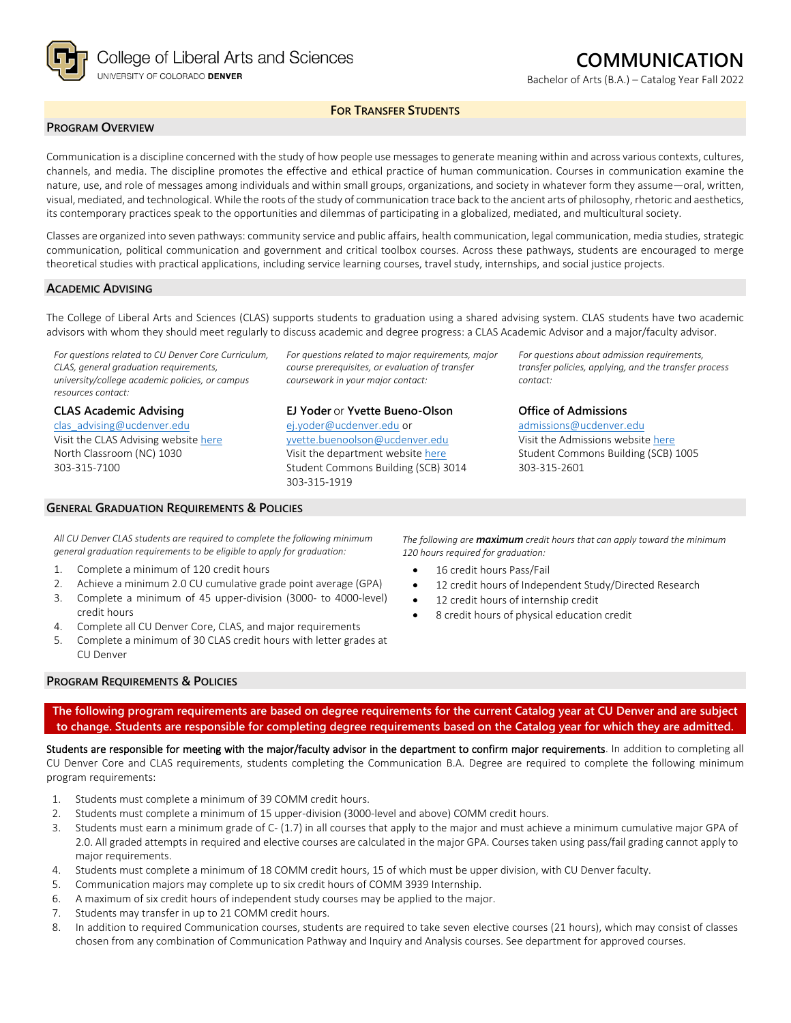

# **COMMUNICATION**

Bachelor of Arts (B.A.) – Catalog Year Fall 2022

# **FOR TRANSFER STUDENTS**

### **PROGRAM OVERVIEW**

Communication is a discipline concerned with the study of how people use messages to generate meaning within and across various contexts, cultures, channels, and media. The discipline promotes the effective and ethical practice of human communication. Courses in communication examine the nature, use, and role of messages among individuals and within small groups, organizations, and society in whatever form they assume—oral, written, visual, mediated, and technological. While the roots of the study of communication trace back to the ancient arts of philosophy, rhetoric and aesthetics, its contemporary practices speak to the opportunities and dilemmas of participating in a globalized, mediated, and multicultural society.

Classes are organized into seven pathways: community service and public affairs, health communication, legal communication, media studies, strategic communication, political communication and government and critical toolbox courses. Across these pathways, students are encouraged to merge theoretical studies with practical applications, including service learning courses, travel study, internships, and social justice projects.

#### **ACADEMIC ADVISING**

The College of Liberal Arts and Sciences (CLAS) supports students to graduation using a shared advising system. CLAS students have two academic advisors with whom they should meet regularly to discuss academic and degree progress: a CLAS Academic Advisor and a major/faculty advisor.

*For questions related to CU Denver Core Curriculum, CLAS, general graduation requirements, university/college academic policies, or campus resources contact:*

**CLAS Academic Advising** [clas\\_advising@ucdenver.edu](mailto:clas_advising@ucdenver.edu) Visit the CLAS Advising websit[e here](https://clas.ucdenver.edu/advising/) North Classroom (NC) 1030 303-315-7100

#### **GENERAL GRADUATION REQUIREMENTS & POLICIES**

*For questions related to major requirements, major course prerequisites, or evaluation of transfer coursework in your major contact:*

**EJ Yoder** or **Yvette Bueno-Olson** [ej.yoder@ucdenver.edu](mailto:ej.yoder@ucdenver.edu) or [yvette.buenoolson@ucdenver.edu](mailto:yvette.buenoolson@ucdenver.edu) Visit the department website [here](https://clas.ucdenver.edu/communication/)

Student Commons Building (SCB) 3014 303-315-1919

*For questions about admission requirements, transfer policies, applying, and the transfer process contact:*

**Office of Admissions** [admissions@ucdenver.edu](mailto:admissions@ucdenver.edu)

Visit the Admissions website [here](http://www.ucdenver.edu/admissions/Pages/index.aspx) Student Commons Building (SCB) 1005 303-315-2601

*All CU Denver CLAS students are required to complete the following minimum general graduation requirements to be eligible to apply for graduation:*

- 1. Complete a minimum of 120 credit hours
- 2. Achieve a minimum 2.0 CU cumulative grade point average (GPA)
- 3. Complete a minimum of 45 upper-division (3000- to 4000-level) credit hours
- 4. Complete all CU Denver Core, CLAS, and major requirements
- 5. Complete a minimum of 30 CLAS credit hours with letter grades at CU Denver

*The following are maximum credit hours that can apply toward the minimum 120 hours required for graduation:*

- 16 credit hours Pass/Fail
- 12 credit hours of Independent Study/Directed Research
- 12 credit hours of internship credit
- 8 credit hours of physical education credit

#### **PROGRAM REQUIREMENTS & POLICIES**

**The following program requirements are based on degree requirements for the current Catalog year at CU Denver and are subject to change. Students are responsible for completing degree requirements based on the Catalog year for which they are admitted.**

Students are responsible for meeting with the major/faculty advisor in the department to confirm major requirements. In addition to completing all CU Denver Core and CLAS requirements, students completing the Communication B.A. Degree are required to complete the following minimum program requirements:

- 1. Students must complete a minimum of 39 COMM credit hours.
- 2. Students must complete a minimum of 15 upper-division (3000-level and above) COMM credit hours.
- 3. Students must earn a minimum grade of C- (1.7) in all courses that apply to the major and must achieve a minimum cumulative major GPA of 2.0. All graded attempts in required and elective courses are calculated in the major GPA. Courses taken using pass/fail grading cannot apply to major requirements.
- 4. Students must complete a minimum of 18 COMM credit hours, 15 of which must be upper division, with CU Denver faculty.
- 5. Communication majors may complete up to six credit hours of COMM 3939 Internship.
- 6. A maximum of six credit hours of independent study courses may be applied to the major.
- 7. Students may transfer in up to 21 COMM credit hours.
- 8. In addition to required Communication courses, students are required to take seven elective courses (21 hours), which may consist of classes chosen from any combination of Communication Pathway and Inquiry and Analysis courses. See department for approved courses.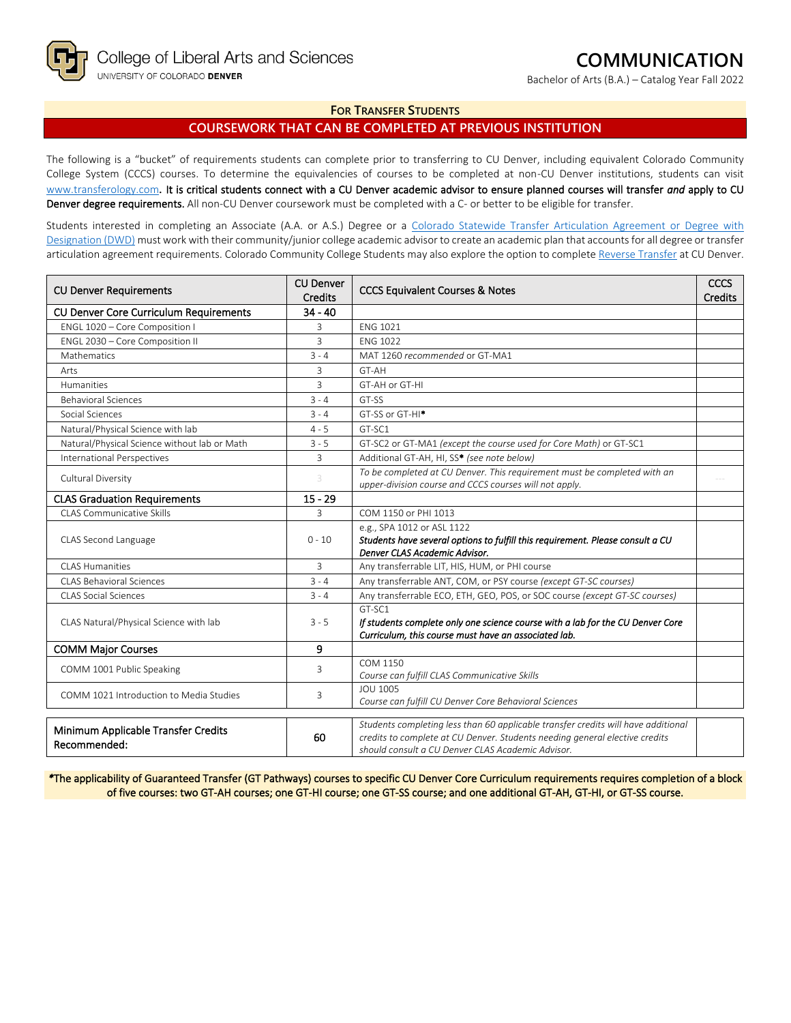Bachelor of Arts (B.A.) – Catalog Year Fall 2022

### **FOR TRANSFER STUDENTS**

# **COURSEWORK THAT CAN BE COMPLETED AT PREVIOUS INSTITUTION**

The following is a "bucket" of requirements students can complete prior to transferring to CU Denver, including equivalent Colorado Community College System (CCCS) courses. To determine the equivalencies of courses to be completed at non-CU Denver institutions, students can visit [www.transferology.com](http://www.transferology.com/)**.** It is critical students connect with a CU Denver academic advisor to ensure planned courses will transfer *and* apply to CU Denver degree requirements. All non-CU Denver coursework must be completed with a C- or better to be eligible for transfer.

Students interested in completing an Associate (A.A. or A.S.) Degree or a Colorado Statewide Transfer Articulation Agreement or Degree with [Designation \(DWD\)](https://highered.colorado.gov/transfer-degrees) must work with their community/junior college academic advisor to create an academic plan that accounts for all degree or transfer articulation agreement requirements. Colorado Community College Students may also explore the option to complet[e Reverse Transfer](https://highered.colorado.gov/students/attending-college/colorado-reverse-transfer) at CU Denver.

| <b>CU Denver Requirements</b>                       | <b>CU Denver</b><br><b>Credits</b> | <b>CCCS Equivalent Courses &amp; Notes</b>                                                                                                                                                                            |  |
|-----------------------------------------------------|------------------------------------|-----------------------------------------------------------------------------------------------------------------------------------------------------------------------------------------------------------------------|--|
| <b>CU Denver Core Curriculum Requirements</b>       | $34 - 40$                          |                                                                                                                                                                                                                       |  |
| ENGL 1020 - Core Composition I                      | 3                                  | <b>ENG 1021</b>                                                                                                                                                                                                       |  |
| ENGL 2030 - Core Composition II                     | 3                                  | <b>FNG 1022</b>                                                                                                                                                                                                       |  |
| Mathematics                                         | $3 - 4$                            | MAT 1260 recommended or GT-MA1                                                                                                                                                                                        |  |
| Arts                                                | 3                                  | GT-AH                                                                                                                                                                                                                 |  |
| Humanities                                          | 3                                  | GT-AH or GT-HI                                                                                                                                                                                                        |  |
| <b>Behavioral Sciences</b>                          | $3 - 4$                            | GT-SS                                                                                                                                                                                                                 |  |
| Social Sciences                                     | $3 - 4$                            | GT-SS or GT-HI <sup>*</sup>                                                                                                                                                                                           |  |
| Natural/Physical Science with lab                   | $4 - 5$                            | GT-SC1                                                                                                                                                                                                                |  |
| Natural/Physical Science without lab or Math        | $3 - 5$                            | GT-SC2 or GT-MA1 (except the course used for Core Math) or GT-SC1                                                                                                                                                     |  |
| <b>International Perspectives</b>                   | 3                                  | Additional GT-AH, HI, SS* (see note below)                                                                                                                                                                            |  |
| Cultural Diversity                                  | 3                                  | To be completed at CU Denver. This requirement must be completed with an<br>upper-division course and CCCS courses will not apply.                                                                                    |  |
| <b>CLAS Graduation Requirements</b>                 | $15 - 29$                          |                                                                                                                                                                                                                       |  |
| <b>CLAS Communicative Skills</b>                    | 3                                  | COM 1150 or PHI 1013                                                                                                                                                                                                  |  |
| CLAS Second Language                                | $0 - 10$                           | e.g., SPA 1012 or ASL 1122<br>Students have several options to fulfill this requirement. Please consult a CU<br>Denver CLAS Academic Advisor.                                                                         |  |
| <b>CLAS Humanities</b>                              | 3                                  | Any transferrable LIT, HIS, HUM, or PHI course                                                                                                                                                                        |  |
| <b>CLAS Behavioral Sciences</b>                     | $3 - 4$                            | Any transferrable ANT, COM, or PSY course (except GT-SC courses)                                                                                                                                                      |  |
| <b>CLAS Social Sciences</b>                         | $3 - 4$                            | Any transferrable ECO, ETH, GEO, POS, or SOC course (except GT-SC courses)                                                                                                                                            |  |
| CLAS Natural/Physical Science with lab              |                                    | GT-SC1<br>If students complete only one science course with a lab for the CU Denver Core<br>Curriculum, this course must have an associated lab.                                                                      |  |
| <b>COMM Major Courses</b>                           | 9                                  |                                                                                                                                                                                                                       |  |
| COMM 1001 Public Speaking                           | 3                                  | COM 1150<br>Course can fulfill CLAS Communicative Skills                                                                                                                                                              |  |
| COMM 1021 Introduction to Media Studies             | 3                                  | <b>JOU 1005</b><br>Course can fulfill CU Denver Core Behavioral Sciences                                                                                                                                              |  |
| Minimum Applicable Transfer Credits<br>Recommended: | 60                                 | Students completing less than 60 applicable transfer credits will have additional<br>credits to complete at CU Denver. Students needing general elective credits<br>should consult a CU Denver CLAS Academic Advisor. |  |

*\**The applicability of Guaranteed Transfer (GT Pathways) courses to specific CU Denver Core Curriculum requirements requires completion of a block of five courses: two GT-AH courses; one GT-HI course; one GT-SS course; and one additional GT-AH, GT-HI, or GT-SS course.